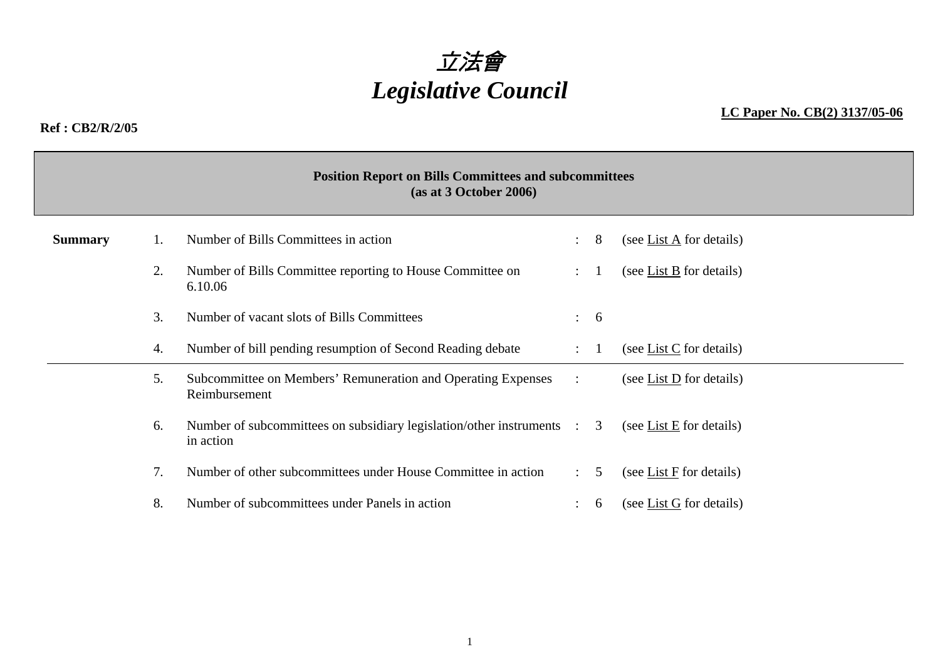

**Ref : CB2/R/2/05** 

## **LC Paper No. CB(2) 3137/05-06**

## **Position Report on Bills Committees and subcommittees (as at 3 October 2006) Summary** 1. Number of Bills Committees in action : 8 (see List A for details) 2. Number of Bills Committee reporting to House Committee on 6.10.06 : 1 (see List B for details) 3. Number of vacant slots of Bills Committees : 6 4.Number of bill pending resumption of Second Reading debate : 1 (see List C for details) 5. Subcommittee on Members' Remuneration and Operating Expenses Reimbursement : (see List D for details) 6.Number of subcommittees on subsidiary legislation/other instruments : 3 in action (see List  $E$  for details) 7.Number of other subcommittees under House Committee in action : 5 (see List F for details) 8.Number of subcommittees under Panels in action : 6 (see List G for details)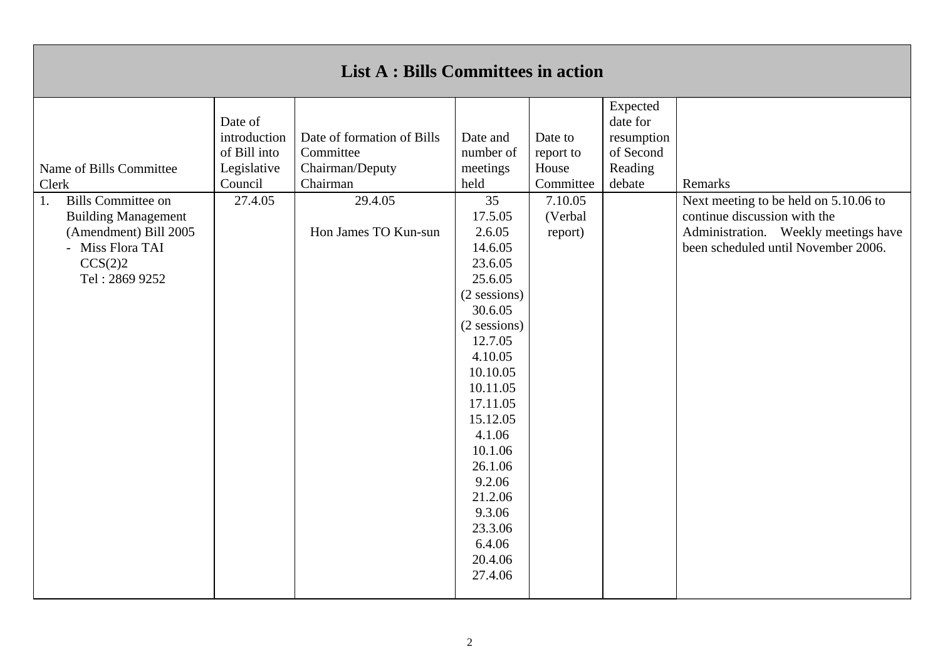|                                                                                                                                                                             |                                                                              | <b>List A : Bills Committees in action</b>                                                                |                                                                                                                                                                                                                                                                                                                                  |                                                                             |                                                                      |                                                                                                                                                                 |
|-----------------------------------------------------------------------------------------------------------------------------------------------------------------------------|------------------------------------------------------------------------------|-----------------------------------------------------------------------------------------------------------|----------------------------------------------------------------------------------------------------------------------------------------------------------------------------------------------------------------------------------------------------------------------------------------------------------------------------------|-----------------------------------------------------------------------------|----------------------------------------------------------------------|-----------------------------------------------------------------------------------------------------------------------------------------------------------------|
| Name of Bills Committee<br>Clerk<br><b>Bills Committee on</b><br>1.<br><b>Building Management</b><br>(Amendment) Bill 2005<br>- Miss Flora TAI<br>CCS(2)2<br>Tel: 2869 9252 | Date of<br>introduction<br>of Bill into<br>Legislative<br>Council<br>27.4.05 | Date of formation of Bills<br>Committee<br>Chairman/Deputy<br>Chairman<br>29.4.05<br>Hon James TO Kun-sun | Date and<br>number of<br>meetings<br>held<br>35<br>17.5.05<br>2.6.05<br>14.6.05<br>23.6.05<br>25.6.05<br>(2 sessions)<br>30.6.05<br>(2 sessions)<br>12.7.05<br>4.10.05<br>10.10.05<br>10.11.05<br>17.11.05<br>15.12.05<br>4.1.06<br>10.1.06<br>26.1.06<br>9.2.06<br>21.2.06<br>9.3.06<br>23.3.06<br>6.4.06<br>20.4.06<br>27.4.06 | Date to<br>report to<br>House<br>Committee<br>7.10.05<br>(Verbal<br>report) | Expected<br>date for<br>resumption<br>of Second<br>Reading<br>debate | Remarks<br>Next meeting to be held on 5.10.06 to<br>continue discussion with the<br>Administration. Weekly meetings have<br>been scheduled until November 2006. |
|                                                                                                                                                                             |                                                                              |                                                                                                           |                                                                                                                                                                                                                                                                                                                                  |                                                                             |                                                                      |                                                                                                                                                                 |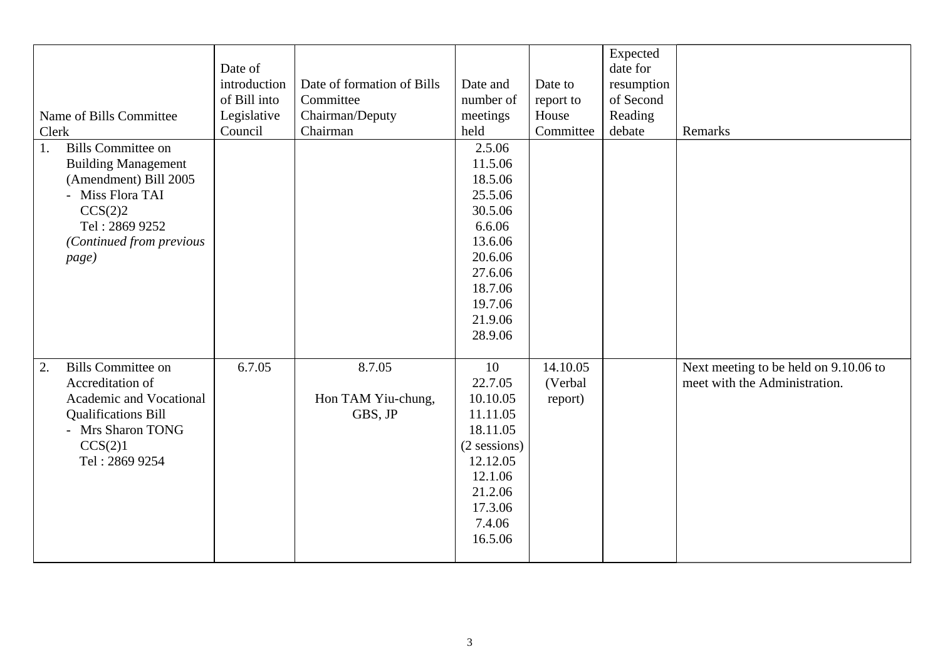| Name of Bills Committee<br>Clerk<br><b>Bills Committee on</b><br>1.<br><b>Building Management</b><br>(Amendment) Bill 2005<br>- Miss Flora TAI<br>CCS(2)2<br>Tel: 2869 9252<br>(Continued from previous<br>page) | Date of<br>introduction<br>of Bill into<br>Legislative<br>Council | Date of formation of Bills<br>Committee<br>Chairman/Deputy<br>Chairman | Date and<br>number of<br>meetings<br>held<br>2.5.06<br>11.5.06<br>18.5.06<br>25.5.06<br>30.5.06<br>6.6.06<br>13.6.06<br>20.6.06<br>27.6.06<br>18.7.06 | Date to<br>report to<br>House<br>Committee | Expected<br>date for<br>resumption<br>of Second<br>Reading<br>debate | Remarks                                                                |
|------------------------------------------------------------------------------------------------------------------------------------------------------------------------------------------------------------------|-------------------------------------------------------------------|------------------------------------------------------------------------|-------------------------------------------------------------------------------------------------------------------------------------------------------|--------------------------------------------|----------------------------------------------------------------------|------------------------------------------------------------------------|
|                                                                                                                                                                                                                  |                                                                   |                                                                        | 19.7.06<br>21.9.06<br>28.9.06                                                                                                                         |                                            |                                                                      |                                                                        |
| <b>Bills Committee on</b><br>2.<br>Accreditation of<br>Academic and Vocational<br><b>Qualifications Bill</b><br>- Mrs Sharon TONG<br>CCS(2)1<br>Tel: 2869 9254                                                   | 6.7.05                                                            | 8.7.05<br>Hon TAM Yiu-chung,<br>GBS, JP                                | 10<br>22.7.05<br>10.10.05<br>11.11.05<br>18.11.05<br>(2 sessions)<br>12.12.05<br>12.1.06<br>21.2.06<br>17.3.06<br>7.4.06<br>16.5.06                   | 14.10.05<br>(Verbal<br>report)             |                                                                      | Next meeting to be held on 9.10.06 to<br>meet with the Administration. |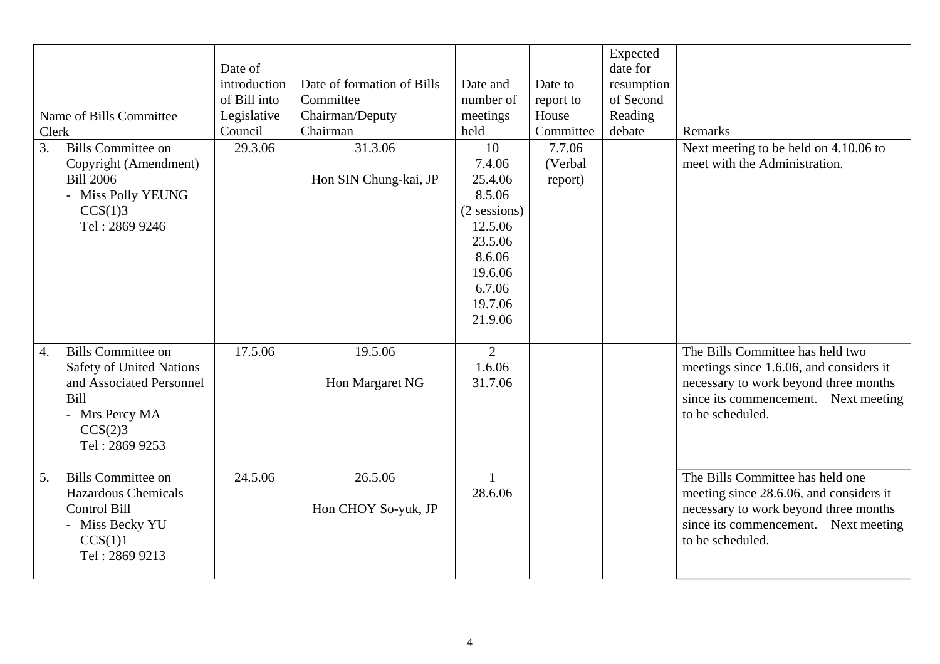| Name of Bills Committee<br>Clerk<br><b>Bills Committee on</b><br>3.<br>Copyright (Amendment)<br><b>Bill 2006</b><br>- Miss Polly YEUNG<br>CCS(1)3<br>Tel: 2869 9246 | Date of<br>introduction<br>of Bill into<br>Legislative<br>Council<br>29.3.06 | Date of formation of Bills<br>Committee<br>Chairman/Deputy<br>Chairman<br>31.3.06<br>Hon SIN Chung-kai, JP | Date and<br>number of<br>meetings<br>held<br>10<br>7.4.06<br>25.4.06<br>8.5.06<br>$(2$ sessions)<br>12.5.06<br>23.5.06<br>8.6.06<br>19.6.06<br>6.7.06<br>19.7.06<br>21.9.06 | Date to<br>report to<br>House<br>Committee<br>7.7.06<br>(Verbal<br>report) | Expected<br>date for<br>resumption<br>of Second<br>Reading<br>debate | Remarks<br>Next meeting to be held on 4.10.06 to<br>meet with the Administration.                                                                                                |
|---------------------------------------------------------------------------------------------------------------------------------------------------------------------|------------------------------------------------------------------------------|------------------------------------------------------------------------------------------------------------|-----------------------------------------------------------------------------------------------------------------------------------------------------------------------------|----------------------------------------------------------------------------|----------------------------------------------------------------------|----------------------------------------------------------------------------------------------------------------------------------------------------------------------------------|
| <b>Bills Committee on</b><br>4.<br>Safety of United Nations<br>and Associated Personnel<br>Bill<br>- Mrs Percy MA<br>CCS(2)3<br>Tel: 2869 9253                      | 17.5.06                                                                      | 19.5.06<br>Hon Margaret NG                                                                                 | $\overline{2}$<br>1.6.06<br>31.7.06                                                                                                                                         |                                                                            |                                                                      | The Bills Committee has held two<br>meetings since 1.6.06, and considers it<br>necessary to work beyond three months<br>since its commencement. Next meeting<br>to be scheduled. |
| <b>Bills Committee on</b><br>5.<br><b>Hazardous Chemicals</b><br>Control Bill<br>- Miss Becky YU<br>CCS(1)1<br>Tel: 2869 9213                                       | 24.5.06                                                                      | 26.5.06<br>Hon CHOY So-yuk, JP                                                                             | $\mathbf{1}$<br>28.6.06                                                                                                                                                     |                                                                            |                                                                      | The Bills Committee has held one<br>meeting since 28.6.06, and considers it<br>necessary to work beyond three months<br>since its commencement. Next meeting<br>to be scheduled. |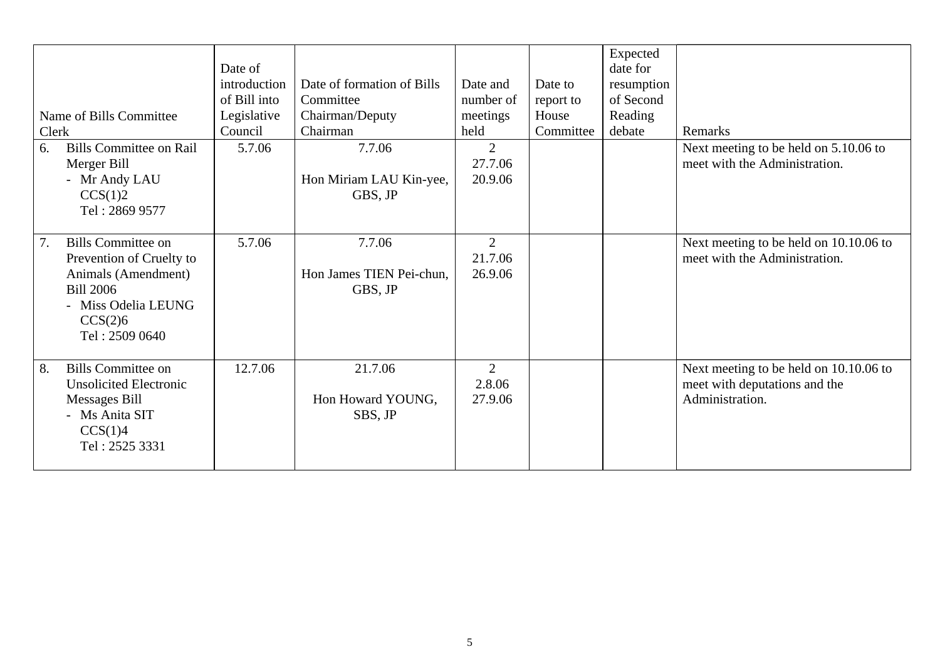| Clerk | Name of Bills Committee                                                                                                                              | Date of<br>introduction<br>of Bill into<br>Legislative<br>Council | Date of formation of Bills<br>Committee<br>Chairman/Deputy<br>Chairman | Date and<br>number of<br>meetings<br>held | Date to<br>report to<br>House<br>Committee | Expected<br>date for<br>resumption<br>of Second<br>Reading<br>debate | Remarks                                                                                    |
|-------|------------------------------------------------------------------------------------------------------------------------------------------------------|-------------------------------------------------------------------|------------------------------------------------------------------------|-------------------------------------------|--------------------------------------------|----------------------------------------------------------------------|--------------------------------------------------------------------------------------------|
| 6.    | <b>Bills Committee on Rail</b><br>Merger Bill<br>- Mr Andy LAU<br>CCS(1)2<br>Tel: 2869 9577                                                          | 5.7.06                                                            | 7.7.06<br>Hon Miriam LAU Kin-yee,<br>GBS, JP                           | $\overline{2}$<br>27.7.06<br>20.9.06      |                                            |                                                                      | Next meeting to be held on 5.10.06 to<br>meet with the Administration.                     |
| 7.    | <b>Bills Committee on</b><br>Prevention of Cruelty to<br>Animals (Amendment)<br><b>Bill 2006</b><br>- Miss Odelia LEUNG<br>CCS(2)6<br>Tel: 2509 0640 | 5.7.06                                                            | 7.7.06<br>Hon James TIEN Pei-chun,<br>GBS, JP                          | 2<br>21.7.06<br>26.9.06                   |                                            |                                                                      | Next meeting to be held on 10.10.06 to<br>meet with the Administration.                    |
| 8.    | <b>Bills Committee on</b><br><b>Unsolicited Electronic</b><br>Messages Bill<br>- Ms Anita SIT<br>CCS(1)4<br>Tel: 2525 3331                           | 12.7.06                                                           | 21.7.06<br>Hon Howard YOUNG,<br>SBS, JP                                | $\overline{2}$<br>2.8.06<br>27.9.06       |                                            |                                                                      | Next meeting to be held on 10.10.06 to<br>meet with deputations and the<br>Administration. |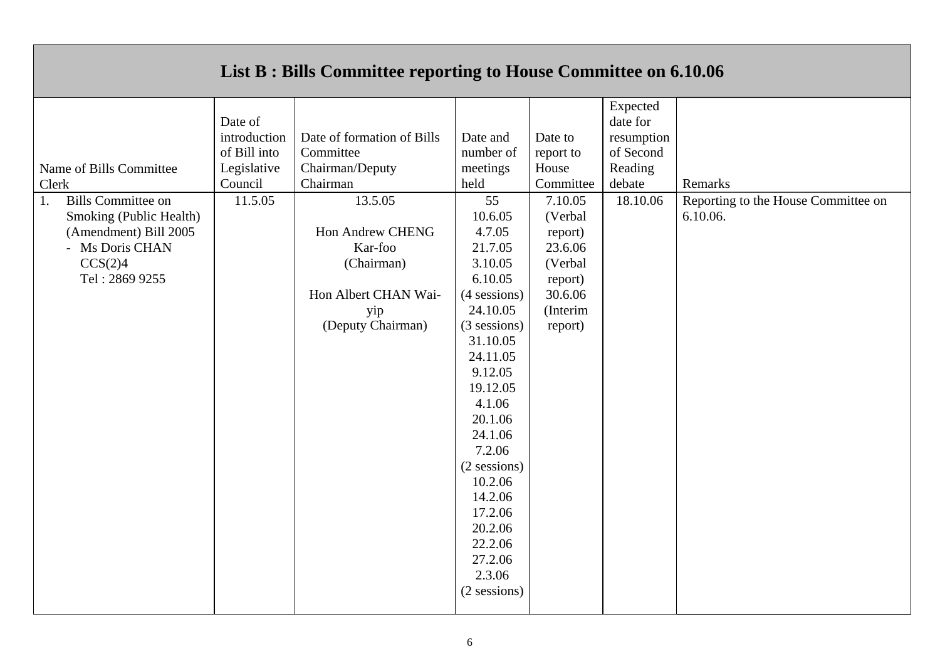|                                            |             | List B : Bills Committee reporting to House Committee on 6.10.06 |                |            |          |                                     |
|--------------------------------------------|-------------|------------------------------------------------------------------|----------------|------------|----------|-------------------------------------|
|                                            |             |                                                                  |                |            | Expected |                                     |
|                                            | Date of     |                                                                  |                |            | date for |                                     |
| introduction<br>Date of formation of Bills |             | Date and                                                         | Date to        | resumption |          |                                     |
| of Bill into<br>Committee                  |             | number of                                                        | report to      | of Second  |          |                                     |
| Name of Bills Committee                    | Legislative | Chairman/Deputy                                                  | meetings       | House      | Reading  |                                     |
| Clerk                                      | Council     | Chairman                                                         | held           | Committee  | debate   | Remarks                             |
| <b>Bills Committee on</b><br>1.            | 11.5.05     | 13.5.05                                                          | 55             | 7.10.05    | 18.10.06 | Reporting to the House Committee on |
| Smoking (Public Health)                    |             |                                                                  | 10.6.05        | (Verbal    |          | 6.10.06.                            |
| (Amendment) Bill 2005                      |             | <b>Hon Andrew CHENG</b>                                          | 4.7.05         | report)    |          |                                     |
| - Ms Doris CHAN                            |             | Kar-foo                                                          | 21.7.05        | 23.6.06    |          |                                     |
| CCS(2)4                                    |             | (Chairman)                                                       | 3.10.05        | (Verbal    |          |                                     |
| Tel: 2869 9255                             |             |                                                                  | 6.10.05        | report)    |          |                                     |
|                                            |             | Hon Albert CHAN Wai-                                             | (4 sessions)   | 30.6.06    |          |                                     |
|                                            |             | yip                                                              | 24.10.05       | (Interim   |          |                                     |
|                                            |             | (Deputy Chairman)                                                | (3 sessions)   | report)    |          |                                     |
|                                            |             |                                                                  | 31.10.05       |            |          |                                     |
|                                            |             |                                                                  | 24.11.05       |            |          |                                     |
|                                            |             |                                                                  | 9.12.05        |            |          |                                     |
|                                            |             |                                                                  | 19.12.05       |            |          |                                     |
|                                            |             |                                                                  | 4.1.06         |            |          |                                     |
|                                            |             |                                                                  | 20.1.06        |            |          |                                     |
|                                            |             |                                                                  | 24.1.06        |            |          |                                     |
|                                            |             |                                                                  | 7.2.06         |            |          |                                     |
|                                            |             |                                                                  | $(2$ sessions) |            |          |                                     |
|                                            |             |                                                                  | 10.2.06        |            |          |                                     |
|                                            |             |                                                                  | 14.2.06        |            |          |                                     |
|                                            |             |                                                                  | 17.2.06        |            |          |                                     |
|                                            |             |                                                                  | 20.2.06        |            |          |                                     |
|                                            |             |                                                                  | 22.2.06        |            |          |                                     |
|                                            |             |                                                                  | 27.2.06        |            |          |                                     |
|                                            |             |                                                                  | 2.3.06         |            |          |                                     |
|                                            |             |                                                                  | (2 sessions)   |            |          |                                     |
|                                            |             |                                                                  |                |            |          |                                     |

## **List B : Bills Committee reporting to House Committee on 6.10.06**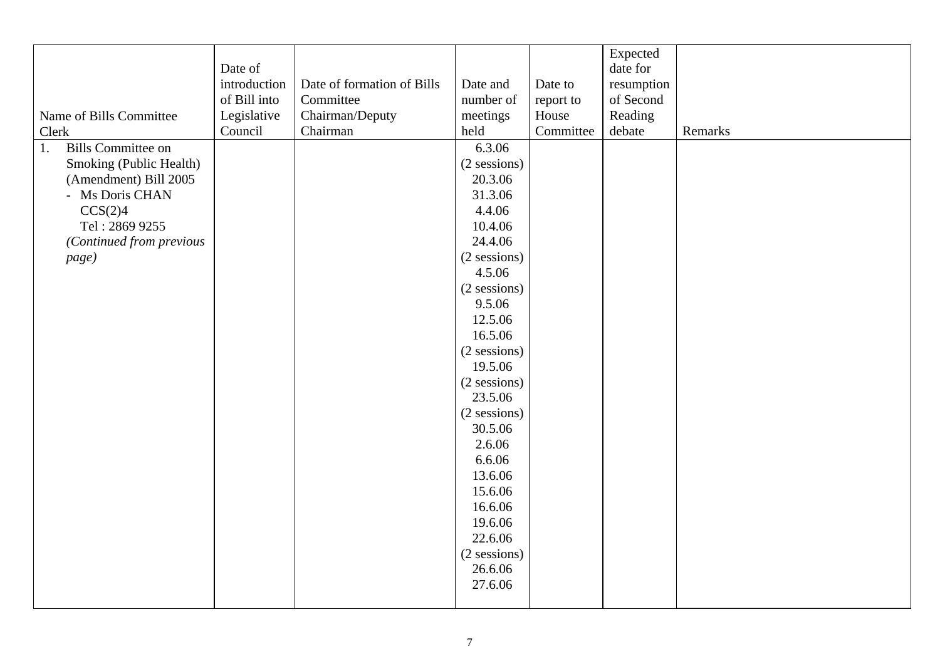|                                 |              |                            |                |           | Expected   |         |
|---------------------------------|--------------|----------------------------|----------------|-----------|------------|---------|
|                                 | Date of      |                            |                |           | date for   |         |
|                                 | introduction | Date of formation of Bills | Date and       | Date to   | resumption |         |
|                                 | of Bill into | Committee                  | number of      |           | of Second  |         |
|                                 |              |                            |                | report to |            |         |
| Name of Bills Committee         | Legislative  | Chairman/Deputy            | meetings       | House     | Reading    |         |
| Clerk                           | Council      | Chairman                   | held           | Committee | debate     | Remarks |
| <b>Bills Committee on</b><br>1. |              |                            | 6.3.06         |           |            |         |
| Smoking (Public Health)         |              |                            | (2 sessions)   |           |            |         |
| (Amendment) Bill 2005           |              |                            | 20.3.06        |           |            |         |
| - Ms Doris CHAN                 |              |                            | 31.3.06        |           |            |         |
| CCS(2)4                         |              |                            | 4.4.06         |           |            |         |
| Tel: 2869 9255                  |              |                            | 10.4.06        |           |            |         |
| (Continued from previous        |              |                            | 24.4.06        |           |            |         |
| page)                           |              |                            | (2 sessions)   |           |            |         |
|                                 |              |                            | 4.5.06         |           |            |         |
|                                 |              |                            | $(2$ sessions) |           |            |         |
|                                 |              |                            | 9.5.06         |           |            |         |
|                                 |              |                            | 12.5.06        |           |            |         |
|                                 |              |                            | 16.5.06        |           |            |         |
|                                 |              |                            | (2 sessions)   |           |            |         |
|                                 |              |                            | 19.5.06        |           |            |         |
|                                 |              |                            | (2 sessions)   |           |            |         |
|                                 |              |                            | 23.5.06        |           |            |         |
|                                 |              |                            | (2 sessions)   |           |            |         |
|                                 |              |                            | 30.5.06        |           |            |         |
|                                 |              |                            | 2.6.06         |           |            |         |
|                                 |              |                            | 6.6.06         |           |            |         |
|                                 |              |                            | 13.6.06        |           |            |         |
|                                 |              |                            | 15.6.06        |           |            |         |
|                                 |              |                            | 16.6.06        |           |            |         |
|                                 |              |                            | 19.6.06        |           |            |         |
|                                 |              |                            | 22.6.06        |           |            |         |
|                                 |              |                            | (2 sessions)   |           |            |         |
|                                 |              |                            | 26.6.06        |           |            |         |
|                                 |              |                            | 27.6.06        |           |            |         |
|                                 |              |                            |                |           |            |         |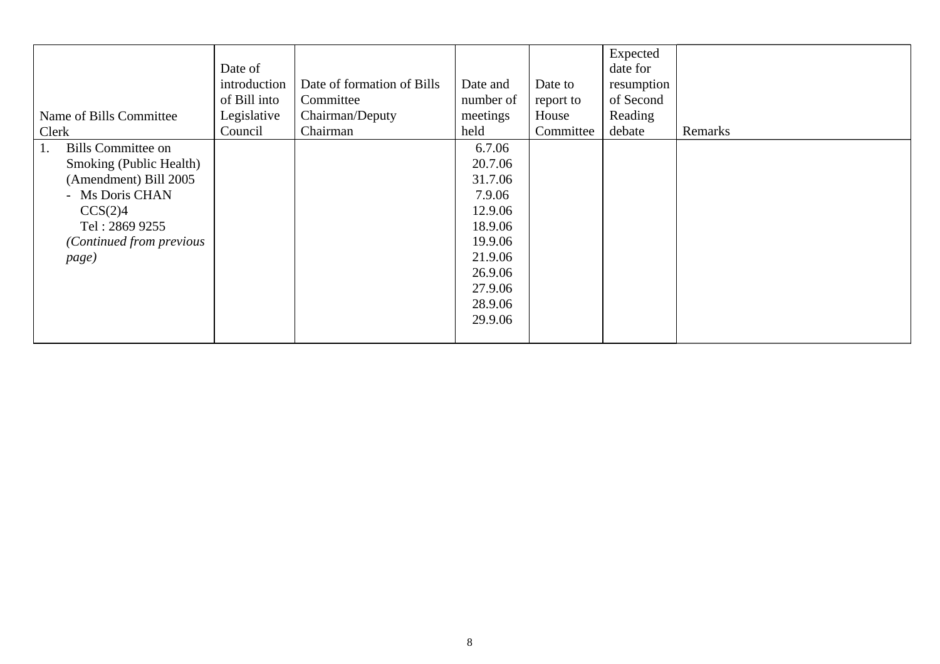| Name of Bills Committee<br>Clerk                                                                                                                                         | Date of<br>introduction<br>of Bill into<br>Legislative<br>Council | Date of formation of Bills<br>Committee<br>Chairman/Deputy<br>Chairman | Date and<br>number of<br>meetings<br>held                                                                                      | Date to<br>report to<br>House<br>Committee | Expected<br>date for<br>resumption<br>of Second<br>Reading<br>debate | Remarks |
|--------------------------------------------------------------------------------------------------------------------------------------------------------------------------|-------------------------------------------------------------------|------------------------------------------------------------------------|--------------------------------------------------------------------------------------------------------------------------------|--------------------------------------------|----------------------------------------------------------------------|---------|
| <b>Bills Committee on</b><br>1.<br>Smoking (Public Health)<br>(Amendment) Bill 2005<br>- Ms Doris CHAN<br>CCS(2)4<br>Tel: 2869 9255<br>(Continued from previous<br>page) |                                                                   |                                                                        | 6.7.06<br>20.7.06<br>31.7.06<br>7.9.06<br>12.9.06<br>18.9.06<br>19.9.06<br>21.9.06<br>26.9.06<br>27.9.06<br>28.9.06<br>29.9.06 |                                            |                                                                      |         |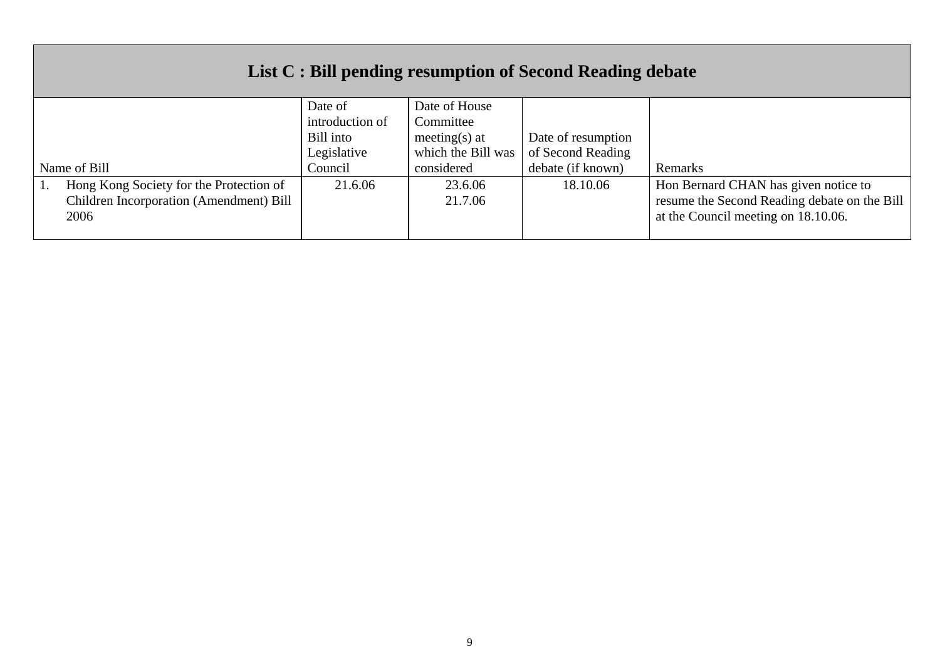| List C : Bill pending resumption of Second Reading debate                                  |                            |                            |                    |                                                                                                                             |  |  |
|--------------------------------------------------------------------------------------------|----------------------------|----------------------------|--------------------|-----------------------------------------------------------------------------------------------------------------------------|--|--|
|                                                                                            | Date of<br>introduction of | Date of House<br>Committee |                    |                                                                                                                             |  |  |
|                                                                                            | Bill into                  | meeting(s) at              | Date of resumption |                                                                                                                             |  |  |
|                                                                                            | Legislative                | which the Bill was         | of Second Reading  |                                                                                                                             |  |  |
| Name of Bill                                                                               | Council                    | considered                 | debate (if known)  | Remarks                                                                                                                     |  |  |
| Hong Kong Society for the Protection of<br>Children Incorporation (Amendment) Bill<br>2006 | 21.6.06                    | 23.6.06<br>21.7.06         | 18.10.06           | Hon Bernard CHAN has given notice to<br>resume the Second Reading debate on the Bill<br>at the Council meeting on 18.10.06. |  |  |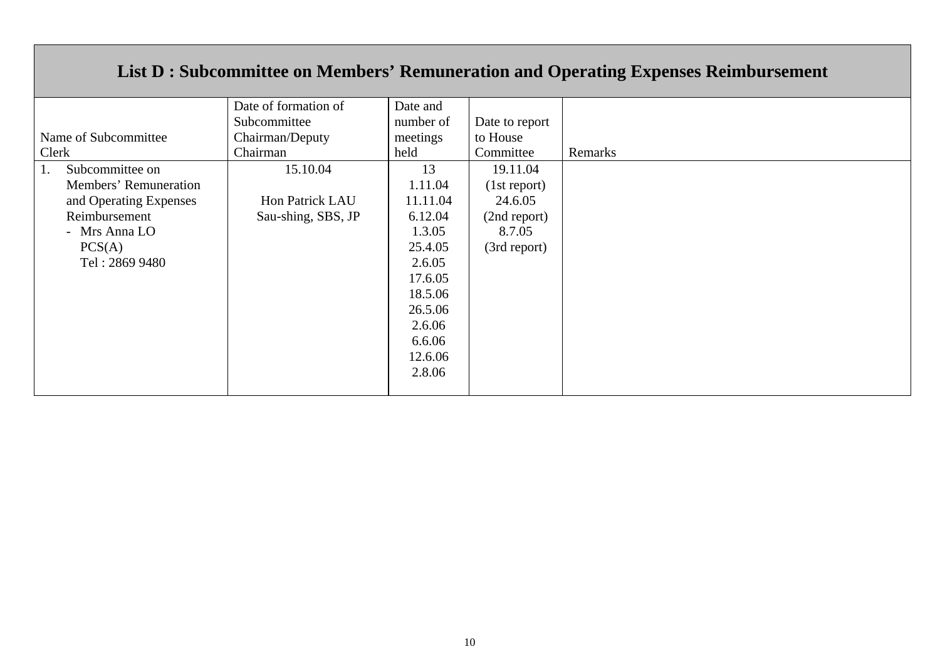## **List D : Subcommittee on Members' Remuneration and Operating Expenses Reimbursement**

|                        | Date of formation of | Date and  |                |         |
|------------------------|----------------------|-----------|----------------|---------|
|                        | Subcommittee         | number of | Date to report |         |
| Name of Subcommittee   | Chairman/Deputy      | meetings  | to House       |         |
| Clerk                  | Chairman             | held      | Committee      | Remarks |
| Subcommittee on<br>1.  | 15.10.04             | 13        | 19.11.04       |         |
| Members' Remuneration  |                      | 1.11.04   | (1st report)   |         |
| and Operating Expenses | Hon Patrick LAU      | 11.11.04  | 24.6.05        |         |
| Reimbursement          | Sau-shing, SBS, JP   | 6.12.04   | (2nd report)   |         |
| - Mrs Anna LO          |                      | 1.3.05    | 8.7.05         |         |
| PCS(A)                 |                      | 25.4.05   | (3rd report)   |         |
| Tel: 2869 9480         |                      | 2.6.05    |                |         |
|                        |                      | 17.6.05   |                |         |
|                        |                      | 18.5.06   |                |         |
|                        |                      | 26.5.06   |                |         |
|                        |                      | 2.6.06    |                |         |
|                        |                      | 6.6.06    |                |         |
|                        |                      | 12.6.06   |                |         |
|                        |                      | 2.8.06    |                |         |
|                        |                      |           |                |         |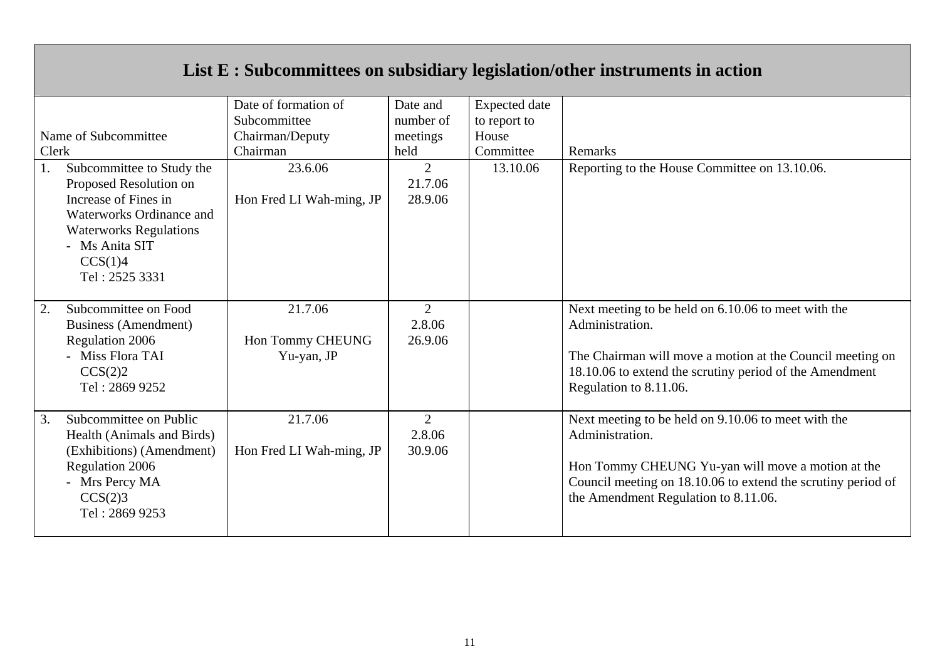|                                                                                                                                                                                               |                                                                     |                                           |                                                            | List E : Subcommittees on subsidiary legislation/other instruments in action                                                                                                                                                        |
|-----------------------------------------------------------------------------------------------------------------------------------------------------------------------------------------------|---------------------------------------------------------------------|-------------------------------------------|------------------------------------------------------------|-------------------------------------------------------------------------------------------------------------------------------------------------------------------------------------------------------------------------------------|
| Name of Subcommittee<br>Clerk                                                                                                                                                                 | Date of formation of<br>Subcommittee<br>Chairman/Deputy<br>Chairman | Date and<br>number of<br>meetings<br>held | <b>Expected</b> date<br>to report to<br>House<br>Committee | Remarks                                                                                                                                                                                                                             |
| Subcommittee to Study the<br>1.<br>Proposed Resolution on<br>Increase of Fines in<br>Waterworks Ordinance and<br><b>Waterworks Regulations</b><br>- Ms Anita SIT<br>CCS(1)4<br>Tel: 2525 3331 | 23.6.06<br>Hon Fred LI Wah-ming, JP                                 | $\overline{2}$<br>21.7.06<br>28.9.06      | 13.10.06                                                   | Reporting to the House Committee on 13.10.06.                                                                                                                                                                                       |
| Subcommittee on Food<br>2.<br>Business (Amendment)<br>Regulation 2006<br>- Miss Flora TAI<br>CCS(2)2<br>Tel: 2869 9252                                                                        | 21.7.06<br>Hon Tommy CHEUNG<br>Yu-yan, JP                           | 2<br>2.8.06<br>26.9.06                    |                                                            | Next meeting to be held on 6.10.06 to meet with the<br>Administration.<br>The Chairman will move a motion at the Council meeting on<br>18.10.06 to extend the scrutiny period of the Amendment<br>Regulation to 8.11.06.            |
| Subcommittee on Public<br>3.<br>Health (Animals and Birds)<br>(Exhibitions) (Amendment)<br>Regulation 2006<br>- Mrs Percy MA<br>CCS(2)3<br>Tel: 2869 9253                                     | 21.7.06<br>Hon Fred LI Wah-ming, JP                                 | 2<br>2.8.06<br>30.9.06                    |                                                            | Next meeting to be held on 9.10.06 to meet with the<br>Administration.<br>Hon Tommy CHEUNG Yu-yan will move a motion at the<br>Council meeting on 18.10.06 to extend the scrutiny period of<br>the Amendment Regulation to 8.11.06. |

 $\mathbf{r}$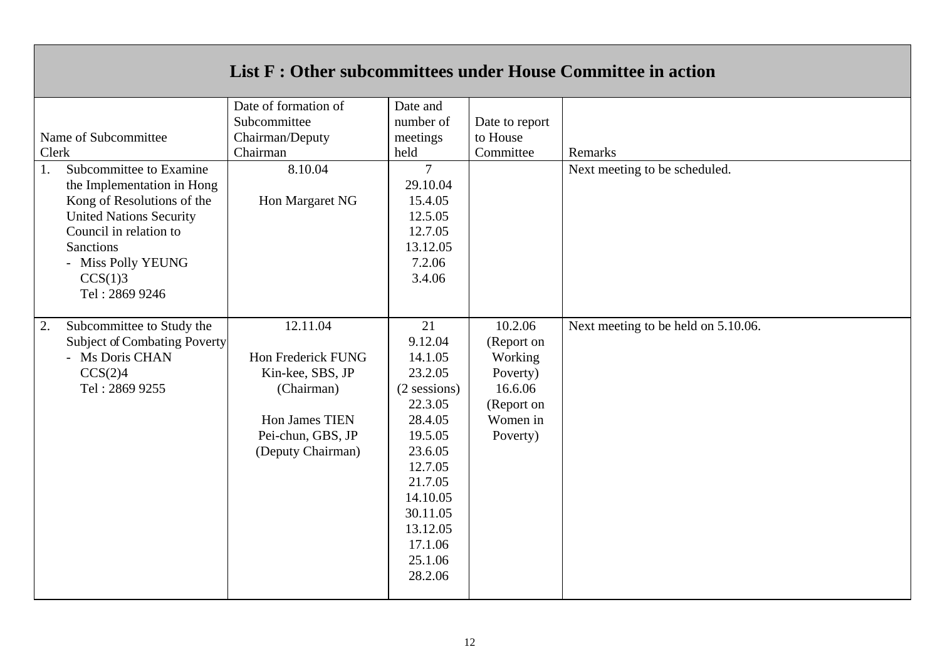|       |                                                                                                                                                                                                                        |                                                                                                                              |                                                                                                                                                                                              |                                                                                               | List F : Other subcommittees under House Committee in action |
|-------|------------------------------------------------------------------------------------------------------------------------------------------------------------------------------------------------------------------------|------------------------------------------------------------------------------------------------------------------------------|----------------------------------------------------------------------------------------------------------------------------------------------------------------------------------------------|-----------------------------------------------------------------------------------------------|--------------------------------------------------------------|
| Clerk | Name of Subcommittee                                                                                                                                                                                                   | Date of formation of<br>Subcommittee<br>Chairman/Deputy<br>Chairman                                                          | Date and<br>number of<br>meetings<br>held                                                                                                                                                    | Date to report<br>to House<br>Committee                                                       | Remarks                                                      |
| 1.    | Subcommittee to Examine<br>the Implementation in Hong<br>Kong of Resolutions of the<br><b>United Nations Security</b><br>Council in relation to<br><b>Sanctions</b><br>- Miss Polly YEUNG<br>CCS(1)3<br>Tel: 2869 9246 | 8.10.04<br>Hon Margaret NG                                                                                                   | $\overline{7}$<br>29.10.04<br>15.4.05<br>12.5.05<br>12.7.05<br>13.12.05<br>7.2.06<br>3.4.06                                                                                                  |                                                                                               | Next meeting to be scheduled.                                |
| 2.    | Subcommittee to Study the<br>Subject of Combating Poverty<br>- Ms Doris CHAN<br>CCS(2)4<br>Tel: 2869 9255                                                                                                              | 12.11.04<br>Hon Frederick FUNG<br>Kin-kee, SBS, JP<br>(Chairman)<br>Hon James TIEN<br>Pei-chun, GBS, JP<br>(Deputy Chairman) | 21<br>9.12.04<br>14.1.05<br>23.2.05<br>$(2$ sessions)<br>22.3.05<br>28.4.05<br>19.5.05<br>23.6.05<br>12.7.05<br>21.7.05<br>14.10.05<br>30.11.05<br>13.12.05<br>17.1.06<br>25.1.06<br>28.2.06 | 10.2.06<br>(Report on<br>Working<br>Poverty)<br>16.6.06<br>(Report on<br>Women in<br>Poverty) | Next meeting to be held on 5.10.06.                          |

 $\blacksquare$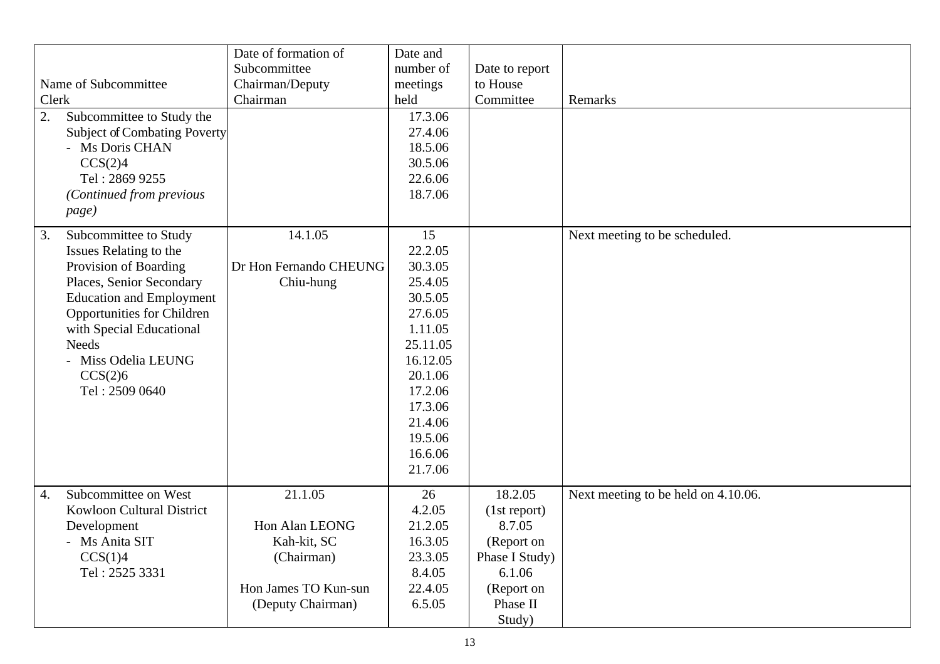|             |                  |                                                        | Date of formation of<br>Subcommittee | Date and<br>number of |                       |                                     |
|-------------|------------------|--------------------------------------------------------|--------------------------------------|-----------------------|-----------------------|-------------------------------------|
|             |                  |                                                        |                                      |                       | Date to report        |                                     |
|             |                  | Name of Subcommittee                                   | Chairman/Deputy<br>Chairman          | meetings<br>held      | to House<br>Committee | Remarks                             |
| Clerk<br>2. |                  | Subcommittee to Study the                              |                                      | 17.3.06               |                       |                                     |
|             |                  |                                                        |                                      | 27.4.06               |                       |                                     |
|             |                  | <b>Subject of Combating Poverty</b><br>- Ms Doris CHAN |                                      | 18.5.06               |                       |                                     |
|             |                  |                                                        |                                      | 30.5.06               |                       |                                     |
|             |                  | CCS(2)4<br>Tel: 2869 9255                              |                                      | 22.6.06               |                       |                                     |
|             |                  |                                                        |                                      |                       |                       |                                     |
|             |                  | (Continued from previous                               |                                      | 18.7.06               |                       |                                     |
|             |                  | page)                                                  |                                      |                       |                       |                                     |
|             | 3.               | Subcommittee to Study                                  | 14.1.05                              | 15                    |                       | Next meeting to be scheduled.       |
|             |                  | Issues Relating to the                                 |                                      | 22.2.05               |                       |                                     |
|             |                  | Provision of Boarding                                  | Dr Hon Fernando CHEUNG               | 30.3.05               |                       |                                     |
|             |                  | Places, Senior Secondary                               | Chiu-hung                            | 25.4.05               |                       |                                     |
|             |                  | <b>Education and Employment</b>                        |                                      | 30.5.05               |                       |                                     |
|             |                  | Opportunities for Children                             |                                      | 27.6.05               |                       |                                     |
|             |                  | with Special Educational                               |                                      | 1.11.05               |                       |                                     |
|             |                  | <b>Needs</b>                                           |                                      | 25.11.05              |                       |                                     |
|             |                  | - Miss Odelia LEUNG                                    |                                      | 16.12.05              |                       |                                     |
|             |                  | CCS(2)6                                                |                                      | 20.1.06               |                       |                                     |
|             |                  | Tel: 2509 0640                                         |                                      | 17.2.06               |                       |                                     |
|             |                  |                                                        |                                      | 17.3.06               |                       |                                     |
|             |                  |                                                        |                                      | 21.4.06               |                       |                                     |
|             |                  |                                                        |                                      | 19.5.06               |                       |                                     |
|             |                  |                                                        |                                      | 16.6.06               |                       |                                     |
|             |                  |                                                        |                                      | 21.7.06               |                       |                                     |
|             | $\overline{4}$ . | Subcommittee on West                                   | 21.1.05                              | 26                    | 18.2.05               | Next meeting to be held on 4.10.06. |
|             |                  | Kowloon Cultural District                              |                                      | 4.2.05                | (1st report)          |                                     |
|             |                  | Development                                            | Hon Alan LEONG                       | 21.2.05               | 8.7.05                |                                     |
|             |                  | - Ms Anita SIT                                         | Kah-kit, SC                          | 16.3.05               | (Report on            |                                     |
|             |                  | CCS(1)4                                                | (Chairman)                           | 23.3.05               | Phase I Study)        |                                     |
|             |                  | Tel: 2525 3331                                         |                                      | 8.4.05                | 6.1.06                |                                     |
|             |                  |                                                        | Hon James TO Kun-sun                 | 22.4.05               | (Report on            |                                     |
|             |                  |                                                        | (Deputy Chairman)                    | 6.5.05                | Phase II              |                                     |
|             |                  |                                                        |                                      |                       | Study)                |                                     |
|             |                  |                                                        |                                      |                       |                       |                                     |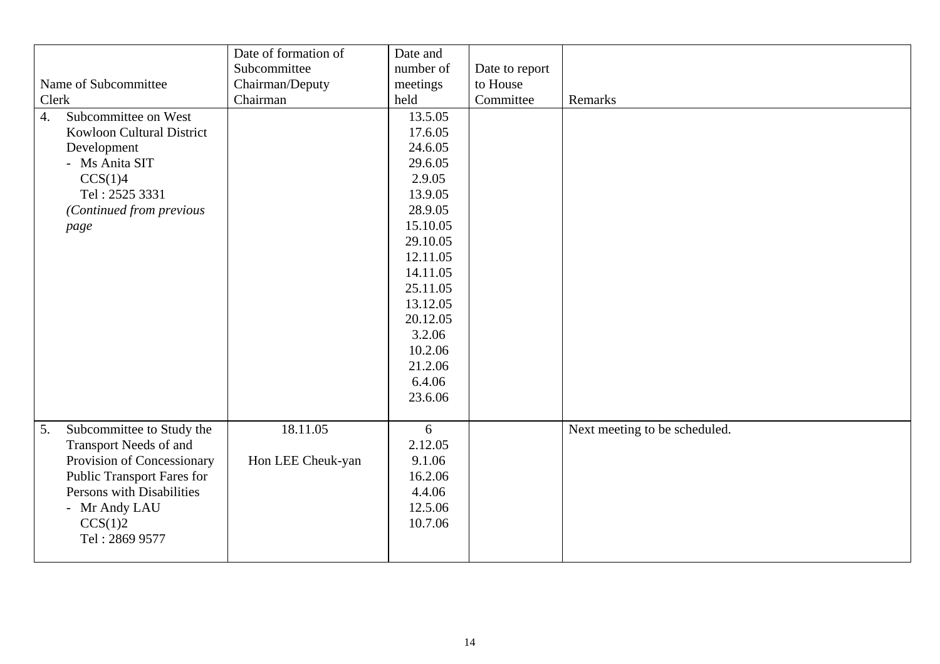| Clerk<br>$\overline{4}$ . | Name of Subcommittee<br>Subcommittee on West<br>Kowloon Cultural District<br>Development                                                                                                   | Date of formation of<br>Subcommittee<br>Chairman/Deputy<br>Chairman | Date and<br>number of<br>meetings<br>held<br>13.5.05<br>17.6.05<br>24.6.05                                                | Date to report<br>to House<br>Committee | Remarks                       |
|---------------------------|--------------------------------------------------------------------------------------------------------------------------------------------------------------------------------------------|---------------------------------------------------------------------|---------------------------------------------------------------------------------------------------------------------------|-----------------------------------------|-------------------------------|
|                           | - Ms Anita SIT<br>CCS(1)4<br>Tel: 2525 3331<br>(Continued from previous<br>page                                                                                                            |                                                                     | 29.6.05<br>2.9.05<br>13.9.05<br>28.9.05<br>15.10.05                                                                       |                                         |                               |
|                           |                                                                                                                                                                                            |                                                                     | 29.10.05<br>12.11.05<br>14.11.05<br>25.11.05<br>13.12.05<br>20.12.05<br>3.2.06<br>10.2.06<br>21.2.06<br>6.4.06<br>23.6.06 |                                         |                               |
| 5.                        | Subcommittee to Study the<br>Transport Needs of and<br>Provision of Concessionary<br>Public Transport Fares for<br>Persons with Disabilities<br>- Mr Andy LAU<br>CCS(1)2<br>Tel: 2869 9577 | 18.11.05<br>Hon LEE Cheuk-yan                                       | 6<br>2.12.05<br>9.1.06<br>16.2.06<br>4.4.06<br>12.5.06<br>10.7.06                                                         |                                         | Next meeting to be scheduled. |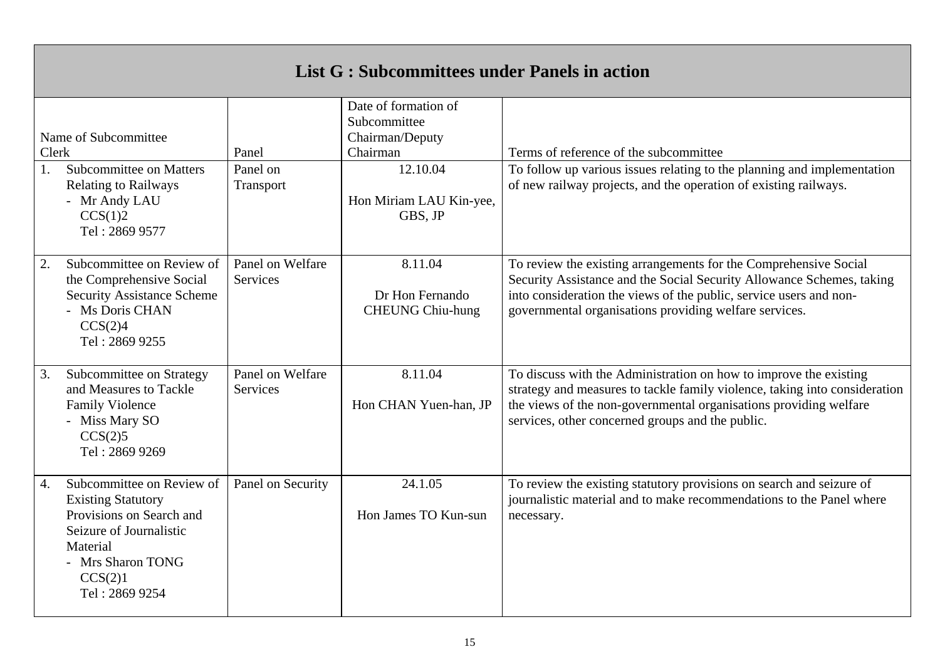| <b>List G: Subcommittees under Panels in action</b> |                                                                                                                                                      |                                     |                                                                                                                       |                                                                                                                                                                                                                                                                           |  |  |  |
|-----------------------------------------------------|------------------------------------------------------------------------------------------------------------------------------------------------------|-------------------------------------|-----------------------------------------------------------------------------------------------------------------------|---------------------------------------------------------------------------------------------------------------------------------------------------------------------------------------------------------------------------------------------------------------------------|--|--|--|
| Name of Subcommittee<br>Clerk<br>1.<br>CCS(1)2      | Subcommittee on Matters<br><b>Relating to Railways</b><br>- Mr Andy LAU<br>Tel: 2869 9577                                                            | Panel<br>Panel on<br>Transport      | Date of formation of<br>Subcommittee<br>Chairman/Deputy<br>Chairman<br>12.10.04<br>Hon Miriam LAU Kin-yee,<br>GBS, JP | Terms of reference of the subcommittee<br>To follow up various issues relating to the planning and implementation<br>of new railway projects, and the operation of existing railways.                                                                                     |  |  |  |
| 2.<br>CCS(2)4                                       | Subcommittee on Review of<br>the Comprehensive Social<br><b>Security Assistance Scheme</b><br>- Ms Doris CHAN<br>Tel: 2869 9255                      | Panel on Welfare<br>Services        | 8.11.04<br>Dr Hon Fernando<br><b>CHEUNG Chiu-hung</b>                                                                 | To review the existing arrangements for the Comprehensive Social<br>Security Assistance and the Social Security Allowance Schemes, taking<br>into consideration the views of the public, service users and non-<br>governmental organisations providing welfare services. |  |  |  |
| 3.<br>CCS(2)5                                       | Subcommittee on Strategy<br>and Measures to Tackle<br><b>Family Violence</b><br>- Miss Mary SO<br>Tel: 2869 9269                                     | Panel on Welfare<br><b>Services</b> | 8.11.04<br>Hon CHAN Yuen-han, JP                                                                                      | To discuss with the Administration on how to improve the existing<br>strategy and measures to tackle family violence, taking into consideration<br>the views of the non-governmental organisations providing welfare<br>services, other concerned groups and the public.  |  |  |  |
| 4.<br>Material<br>CCS(2)1                           | Subcommittee on Review of<br><b>Existing Statutory</b><br>Provisions on Search and<br>Seizure of Journalistic<br>- Mrs Sharon TONG<br>Tel: 2869 9254 | Panel on Security                   | 24.1.05<br>Hon James TO Kun-sun                                                                                       | To review the existing statutory provisions on search and seizure of<br>journalistic material and to make recommendations to the Panel where<br>necessary.                                                                                                                |  |  |  |